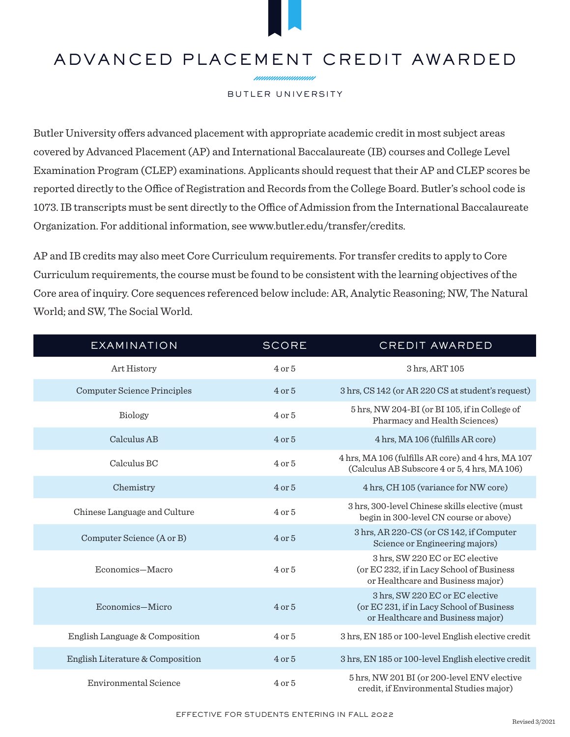## ADVANCED PLACEMENT CREDIT AWARDED

nnnnnnnnnnn

## BUTLER UNIVERSITY

Butler University offers advanced placement with appropriate academic credit in most subject areas covered by Advanced Placement (AP) and International Baccalaureate (IB) courses and College Level Examination Program (CLEP) examinations. Applicants should request that their AP and CLEP scores be reported directly to the Office of Registration and Records from the College Board. Butler's school code is 1073. IB transcripts must be sent directly to the Office of Admission from the International Baccalaureate Organization. For additional information, see www.butler.edu/transfer/credits.

AP and IB credits may also meet Core Curriculum requirements. For transfer credits to apply to Core Curriculum requirements, the course must be found to be consistent with the learning objectives of the Core area of inquiry. Core sequences referenced below include: AR, Analytic Reasoning; NW, The Natural World; and SW, The Social World.

| <b>EXAMINATION</b>                 | <b>SCORE</b> | <b>CREDIT AWARDED</b>                                                                                             |
|------------------------------------|--------------|-------------------------------------------------------------------------------------------------------------------|
| Art History                        | $4$ or $5$   | 3 hrs, ART 105                                                                                                    |
| <b>Computer Science Principles</b> | $4$ or $5$   | 3 hrs, CS 142 (or AR 220 CS at student's request)                                                                 |
| Biology                            | $4$ or $5$   | 5 hrs, NW 204-BI (or BI 105, if in College of<br>Pharmacy and Health Sciences)                                    |
| Calculus AB                        | $4$ or $5$   | 4 hrs, MA 106 (fulfills AR core)                                                                                  |
| Calculus BC                        | $4$ or $5$   | 4 hrs, MA 106 (fulfills AR core) and 4 hrs, MA 107<br>(Calculus AB Subscore 4 or 5, 4 hrs, MA 106)                |
| Chemistry                          | $4$ or $5$   | 4 hrs, CH 105 (variance for NW core)                                                                              |
| Chinese Language and Culture       | $4$ or $5$   | 3 hrs, 300-level Chinese skills elective (must<br>begin in 300-level CN course or above)                          |
| Computer Science (A or B)          | $4$ or $5$   | 3 hrs, AR 220-CS (or CS 142, if Computer<br>Science or Engineering majors)                                        |
| Economics-Macro                    | $4$ or $5$   | 3 hrs, SW 220 EC or EC elective<br>(or EC 232, if in Lacy School of Business<br>or Healthcare and Business major) |
| Economics-Micro                    | $4$ or $5$   | 3 hrs, SW 220 EC or EC elective<br>(or EC 231, if in Lacy School of Business<br>or Healthcare and Business major) |
| English Language & Composition     | $4$ or $5$   | 3 hrs, EN 185 or 100-level English elective credit                                                                |
| English Literature & Composition   | $4$ or $5$   | 3 hrs, EN 185 or 100-level English elective credit                                                                |
| Environmental Science              | $4$ or $5$   | 5 hrs, NW 201 BI (or 200-level ENV elective<br>credit, if Environmental Studies major)                            |